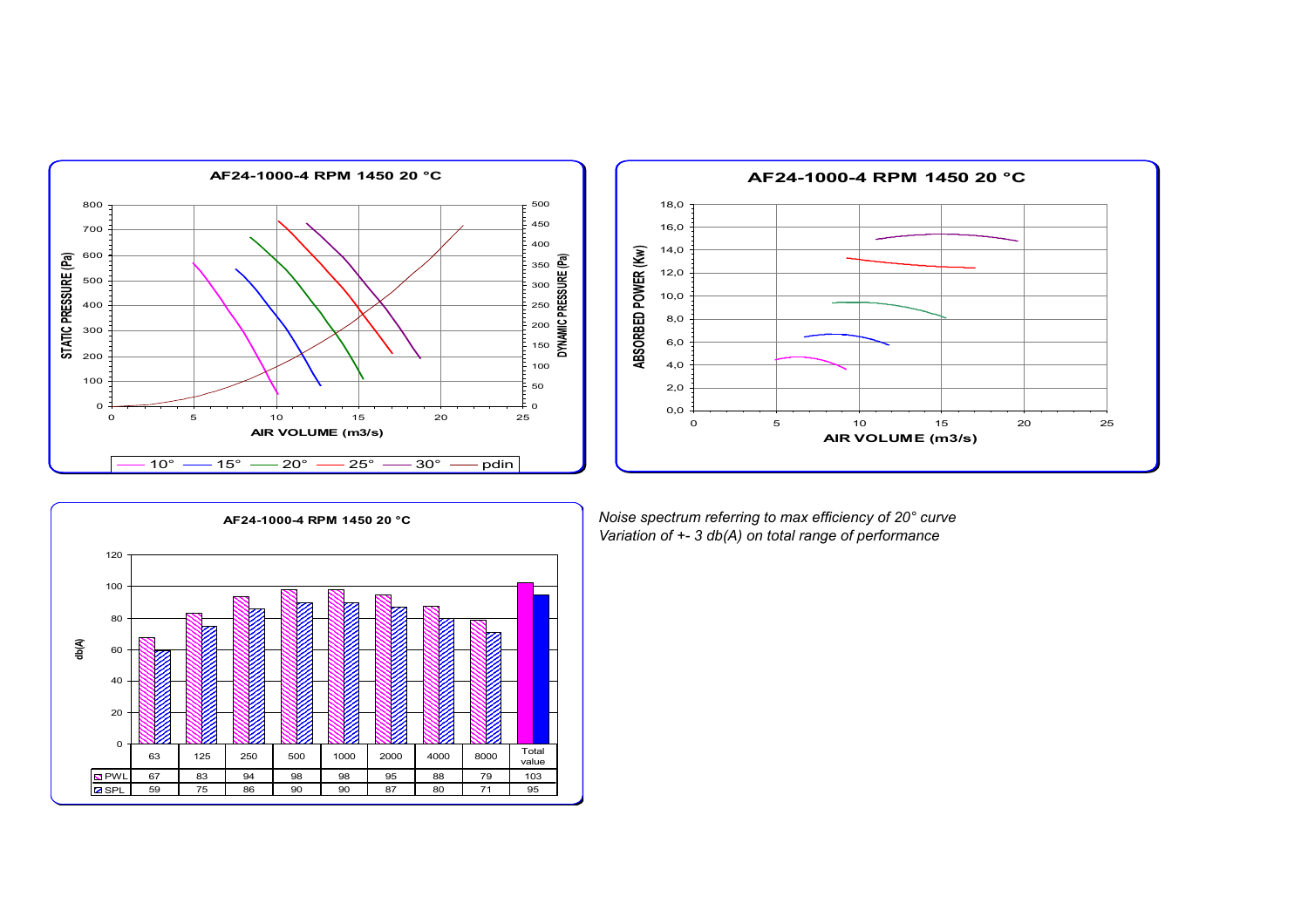



**AF24-1000-4 RPM 1450 20 °C** 0 20 40 60 80 100 120 **db(A)** PWL 67 83 94 98 98 95 88 79 103 SPL 59 75 86 90 90 87 80 71 95 63 | 125 | 250 | 500 | 1000 | 2000 | 4000 | 8000 | Total value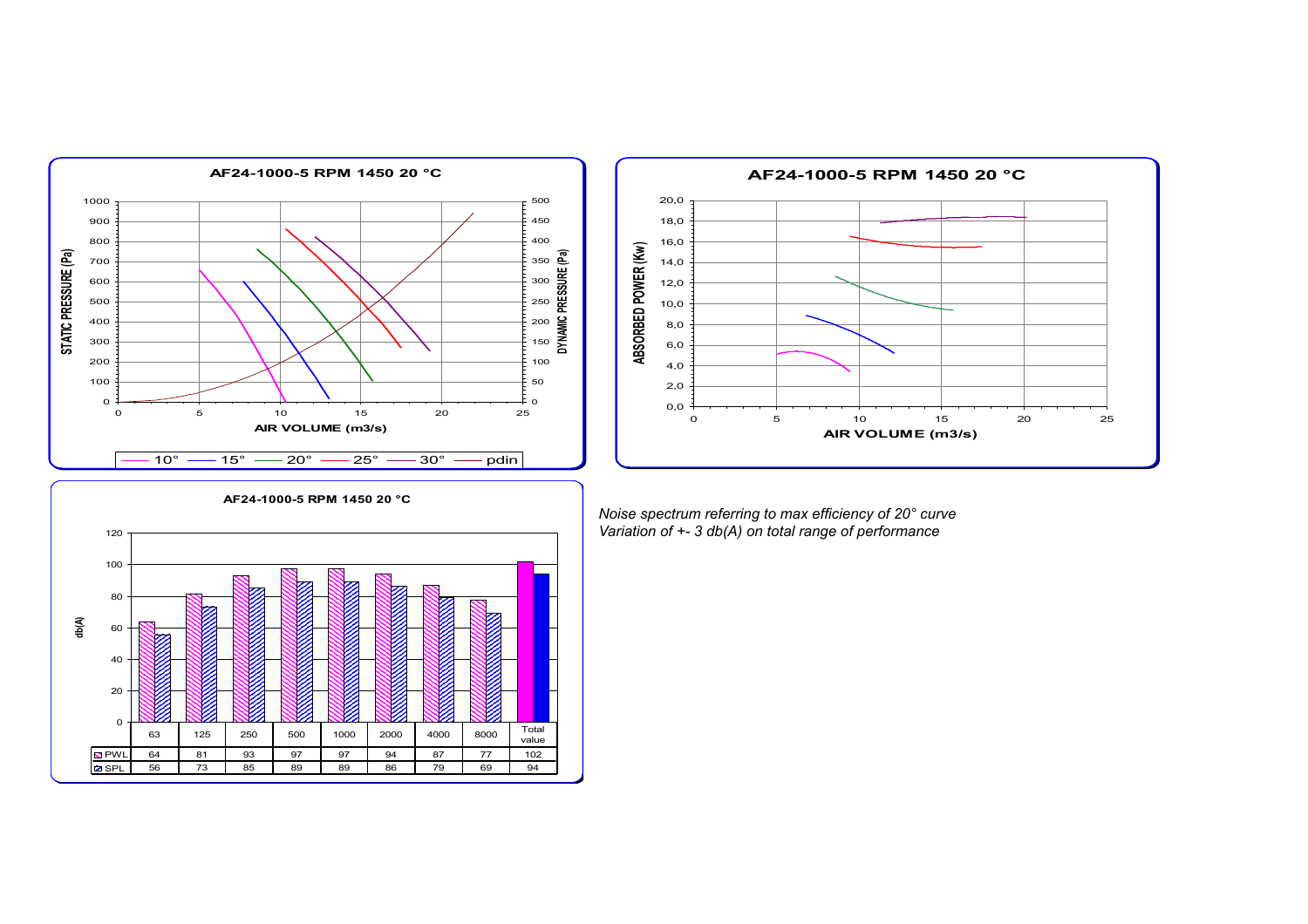



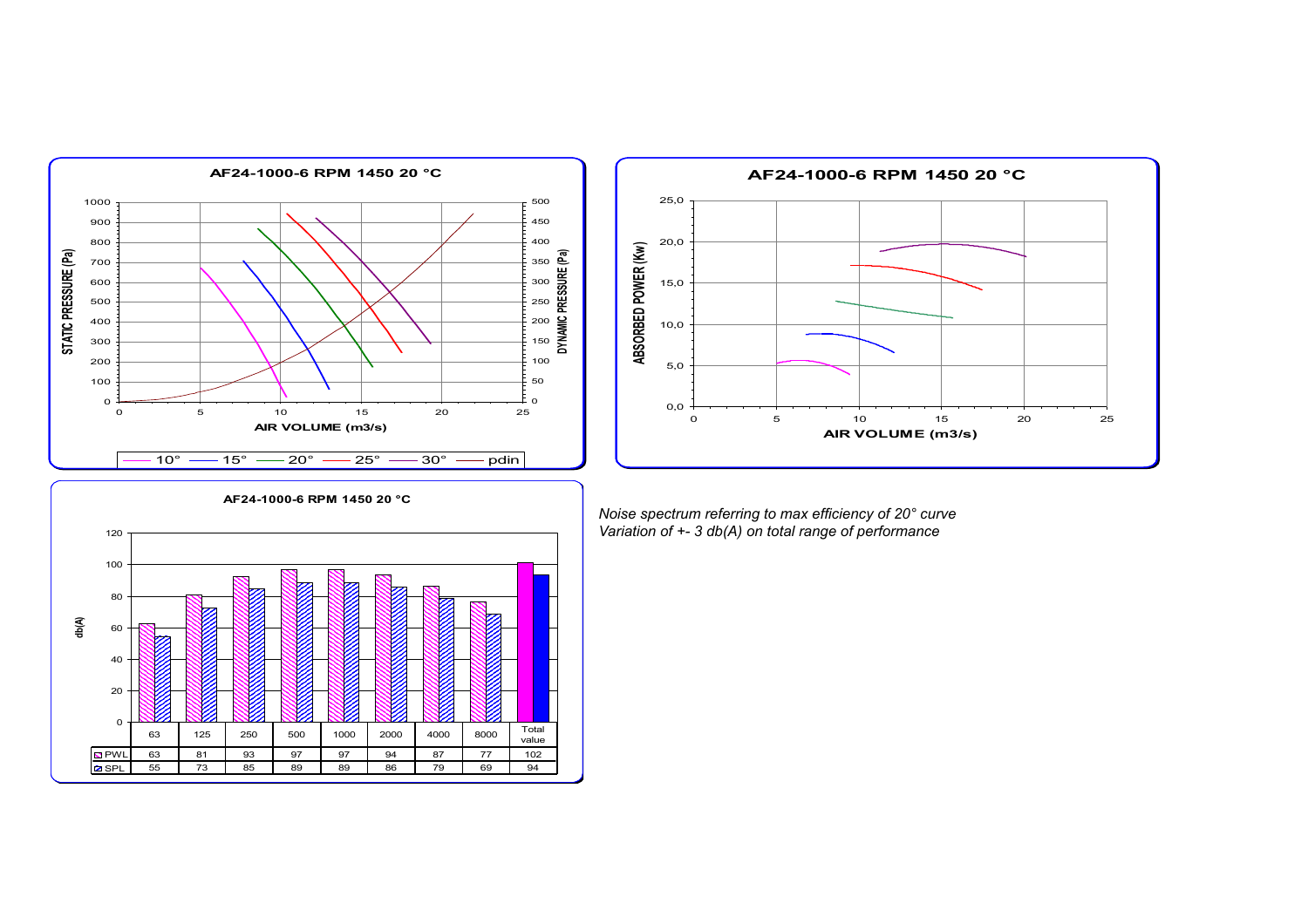